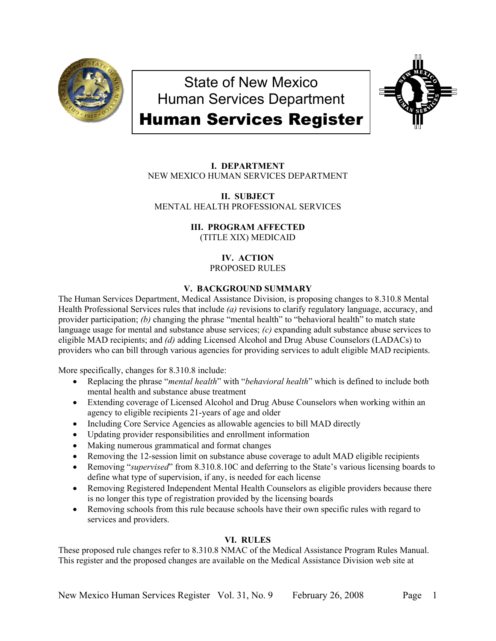

State of New Mexico Human Services Department Human Services Register



**I. DEPARTMENT** NEW MEXICO HUMAN SERVICES DEPARTMENT

**II. SUBJECT** MENTAL HEALTH PROFESSIONAL SERVICES

> **III. PROGRAM AFFECTED** (TITLE XIX) MEDICAID

> > **IV. ACTION** PROPOSED RULES

# **V. BACKGROUND SUMMARY**

The Human Services Department, Medical Assistance Division, is proposing changes to 8.310.8 Mental Health Professional Services rules that include *(a)* revisions to clarify regulatory language, accuracy, and provider participation; *(b)* changing the phrase "mental health" to "behavioral health" to match state language usage for mental and substance abuse services; *(c)* expanding adult substance abuse services to eligible MAD recipients; and *(d)* adding Licensed Alcohol and Drug Abuse Counselors (LADACs) to providers who can bill through various agencies for providing services to adult eligible MAD recipients.

More specifically, changes for 8.310.8 include:

- Replacing the phrase "*mental health*" with "*behavioral health*" which is defined to include both mental health and substance abuse treatment
- Extending coverage of Licensed Alcohol and Drug Abuse Counselors when working within an agency to eligible recipients 21-years of age and older
- Including Core Service Agencies as allowable agencies to bill MAD directly
- Updating provider responsibilities and enrollment information
- Making numerous grammatical and format changes
- Removing the 12-session limit on substance abuse coverage to adult MAD eligible recipients
- Removing "*supervised*" from 8.310.8.10C and deferring to the State's various licensing boards to define what type of supervision, if any, is needed for each license
- Removing Registered Independent Mental Health Counselors as eligible providers because there is no longer this type of registration provided by the licensing boards
- Removing schools from this rule because schools have their own specific rules with regard to services and providers.

# **VI. RULES**

These proposed rule changes refer to 8.310.8 NMAC of the Medical Assistance Program Rules Manual. This register and the proposed changes are available on the Medical Assistance Division web site at

Page 1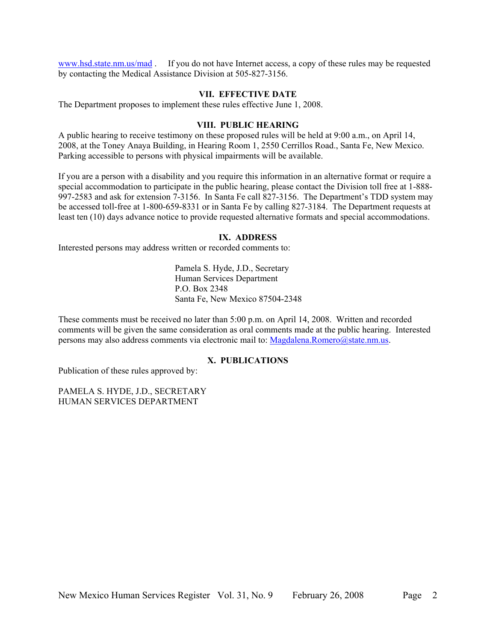[www.hsd.state.nm.us/mad](http://www.hsd.state.nm.us/mad) . If you do not have Internet access, a copy of these rules may be requested by contacting the Medical Assistance Division at 505-827-3156.

### **VII. EFFECTIVE DATE**

The Department proposes to implement these rules effective June 1, 2008.

### **VIII. PUBLIC HEARING**

A public hearing to receive testimony on these proposed rules will be held at 9:00 a.m., on April 14, 2008, at the Toney Anaya Building, in Hearing Room 1, 2550 Cerrillos Road., Santa Fe, New Mexico. Parking accessible to persons with physical impairments will be available.

If you are a person with a disability and you require this information in an alternative format or require a special accommodation to participate in the public hearing, please contact the Division toll free at 1-888- 997-2583 and ask for extension 7-3156. In Santa Fe call 827-3156. The Department's TDD system may be accessed toll-free at 1-800-659-8331 or in Santa Fe by calling 827-3184. The Department requests at least ten (10) days advance notice to provide requested alternative formats and special accommodations.

#### **IX. ADDRESS**

Interested persons may address written or recorded comments to:

Pamela S. Hyde, J.D., Secretary Human Services Department P.O. Box 2348 Santa Fe, New Mexico 87504-2348

These comments must be received no later than 5:00 p.m. on April 14, 2008. Written and recorded comments will be given the same consideration as oral comments made at the public hearing. Interested persons may also address comments via electronic mail to: [Magdalena.Romero@state.nm.us.](mailto:Magdalena.Romero@state.nm.us)

# **X. PUBLICATIONS**

Publication of these rules approved by:

PAMELA S. HYDE, J.D., SECRETARY HUMAN SERVICES DEPARTMENT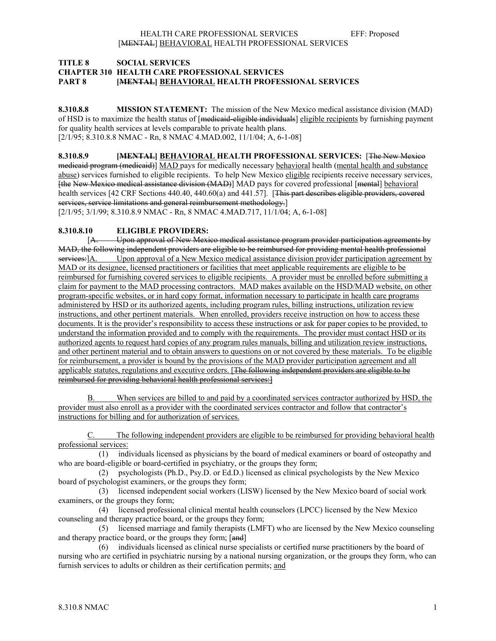### **TITLE 8 SOCIAL SERVICES CHAPTER 310 HEALTH CARE PROFESSIONAL SERVICES PART 8 [MENTAL] BEHAVIORAL HEALTH PROFESSIONAL SERVICES**

**8.310.8.8 MISSION STATEMENT:** The mission of the New Mexico medical assistance division (MAD) of HSD is to maximize the health status of [medicaid-eligible individuals] eligible recipients by furnishing payment for quality health services at levels comparable to private health plans. [2/1/95; 8.310.8.8 NMAC - Rn, 8 NMAC 4.MAD.002, 11/1/04; A, 6-1-08]

**8.310.8.9 [MENTAL] BEHAVIORAL HEALTH PROFESSIONAL SERVICES:** [The New Mexico medicaid program (medicaid)] MAD pays for medically necessary behavioral health (mental health and substance abuse) services furnished to eligible recipients. To help New Mexico eligible recipients receive necessary services, [the New Mexico medical assistance division (MAD)] MAD pays for covered professional [mental] behavioral health services [42 CRF Sections 440.40, 440.60(a) and 441.57]. [This part describes eligible providers, covered services, service limitations and general reimbursement methodology.

[2/1/95; 3/1/99; 8.310.8.9 NMAC - Rn, 8 NMAC 4.MAD.717, 11/1/04; A, 6-1-08]

### **8.310.8.10 ELIGIBLE PROVIDERS:**

[A. Upon approval of New Mexico medical assistance program provider participation agreements by MAD, the following independent providers are eligible to be reimbursed for providing mental health professional services: [A. Upon approval of a New Mexico medical assistance division provider participation agreement by MAD or its designee, licensed practitioners or facilities that meet applicable requirements are eligible to be reimbursed for furnishing covered services to eligible recipients. A provider must be enrolled before submitting a claim for payment to the MAD processing contractors. MAD makes available on the HSD/MAD website, on other program-specific websites, or in hard copy format, information necessary to participate in health care programs administered by HSD or its authorized agents, including program rules, billing instructions, utilization review instructions, and other pertinent materials. When enrolled, providers receive instruction on how to access these documents. It is the provider's responsibility to access these instructions or ask for paper copies to be provided, to understand the information provided and to comply with the requirements. The provider must contact HSD or its authorized agents to request hard copies of any program rules manuals, billing and utilization review instructions, and other pertinent material and to obtain answers to questions on or not covered by these materials. To be eligible for reimbursement, a provider is bound by the provisions of the MAD provider participation agreement and all applicable statutes, regulations and executive orders. [The following independent providers are eligible to be reimbursed for providing behavioral health professional services:]

B. When services are billed to and paid by a coordinated services contractor authorized by HSD, the provider must also enroll as a provider with the coordinated services contractor and follow that contractor's instructions for billing and for authorization of services.

C. The following independent providers are eligible to be reimbursed for providing behavioral health professional services:

 (1) individuals licensed as physicians by the board of medical examiners or board of osteopathy and who are board-eligible or board-certified in psychiatry, or the groups they form;

 (2) psychologists (Ph.D., Psy.D. or Ed.D.) licensed as clinical psychologists by the New Mexico board of psychologist examiners, or the groups they form;

 (3) licensed independent social workers (LISW) licensed by the New Mexico board of social work examiners, or the groups they form;

 (4) licensed professional clinical mental health counselors (LPCC) licensed by the New Mexico counseling and therapy practice board, or the groups they form;

 (5) licensed marriage and family therapists (LMFT) who are licensed by the New Mexico counseling and therapy practice board, or the groups they form; [and]

 (6) individuals licensed as clinical nurse specialists or certified nurse practitioners by the board of nursing who are certified in psychiatric nursing by a national nursing organization, or the groups they form, who can furnish services to adults or children as their certification permits; and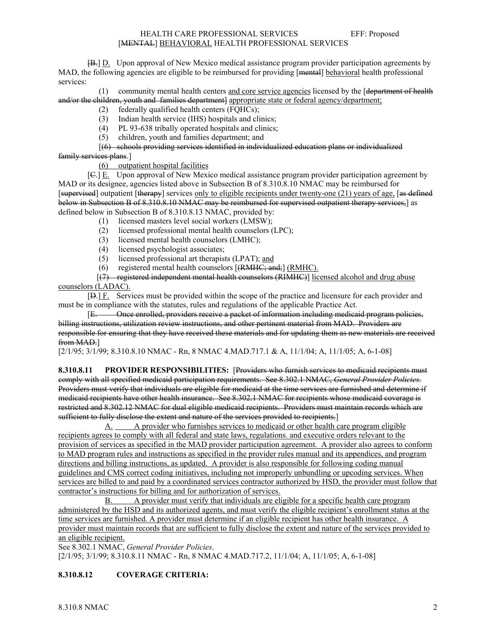#### HEALTH CARE PROFESSIONAL SERVICES EFF: Proposed [MENTAL] BEHAVIORAL HEALTH PROFESSIONAL SERVICES

**[B.]** <u>D.</u> Upon approval of New Mexico medical assistance program provider participation agreements by MAD, the following agencies are eligible to be reimbursed for providing [mental] behavioral health professional services:

 (1) community mental health centers and core service agencies licensed by the [department of health and/or the children, youth and families department] appropriate state or federal agency/department;

- (2) federally qualified health centers (FQHCs);
- (3) Indian health service (IHS) hospitals and clinics;
- (4) PL 93-638 tribally operated hospitals and clinics;<br>(5) children, youth and families department: and
- (5) children, youth and families department; and

### [(6) schools providing services identified in individualized education plans or individualized family services plans.]

(6) outpatient hospital facilities

[C.] E. Upon approval of New Mexico medical assistance program provider participation agreement by MAD or its designee, agencies listed above in Subsection B of 8.310.8.10 NMAC may be reimbursed for [supervised] outpatient [therapy] services only to eligible recipients under twenty-one (21) years of age, [as defined below in Subsection B of 8.310.8.10 NMAC may be reimbursed for supervised outpatient therapy services, as defined below in Subsection B of 8.310.8.13 NMAC, provided by:

- 
- (1) licensed masters level social workers (LMSW);<br>(2) licensed professional mental health counselors ( licensed professional mental health counselors (LPC);
- (3) licensed mental health counselors (LMHC);
- (4) licensed psychologist associates;
- (5) licensed professional art therapists (LPAT); and
- (6) registered mental health counselors  $[$ ( $R$ MHC); and; $]$  ( $R$ MHC).

 [(7) registered independent mental health counselors (RIMHC)] licensed alcohol and drug abuse counselors (LADAC).

[D.] F. Services must be provided within the scope of the practice and licensure for each provider and must be in compliance with the statutes, rules and regulations of the applicable Practice Act.

[E. Once enrolled, providers receive a packet of information including medicaid program policies, billing instructions, utilization review instructions, and other pertinent material from MAD. Providers are responsible for ensuring that they have received these materials and for updating them as new materials are received from MAD.]

[2/1/95; 3/1/99; 8.310.8.10 NMAC - Rn, 8 NMAC 4.MAD.717.1 & A, 11/1/04; A, 11/1/05; A, 6-1-08]

**8.310.8.11 PROVIDER RESPONSIBILITIES:** [Providers who furnish services to medicaid recipients must comply with all specified medicaid participation requirements. See 8.302.1 NMAC, *General Provider Policies*. Providers must verify that individuals are eligible for medicaid at the time services are furnished and determine if medicaid recipients have other health insurance. See 8.302.1 NMAC for recipients whose medicaid coverage is restricted and 8.302.12 NMAC for dual eligible medicaid recipients. Providers must maintain records which are sufficient to fully disclose the extent and nature of the services provided to recipients.]

A. A provider who furnishes services to medicaid or other health care program eligible recipients agrees to comply with all federal and state laws, regulations. and executive orders relevant to the provision of services as specified in the MAD provider participation agreement. A provider also agrees to conform to MAD program rules and instructions as specified in the provider rules manual and its appendices, and program directions and billing instructions, as updated. A provider is also responsible for following coding manual guidelines and CMS correct coding initiatives, including not improperly unbundling or upcoding services. When services are billed to and paid by a coordinated services contractor authorized by HSD, the provider must follow that contractor's instructions for billing and for authorization of services.

B. A provider must verify that individuals are eligible for a specific health care program administered by the HSD and its authorized agents, and must verify the eligible recipient's enrollment status at the time services are furnished. A provider must determine if an eligible recipient has other health insurance. A provider must maintain records that are sufficient to fully disclose the extent and nature of the services provided to an eligible recipient.

See 8.302.1 NMAC, *General Provider Policies*. [2/1/95; 3/1/99; 8.310.8.11 NMAC - Rn, 8 NMAC 4.MAD.717.2, 11/1/04; A, 11/1/05; A, 6-1-08]

## **8.310.8.12 COVERAGE CRITERIA:**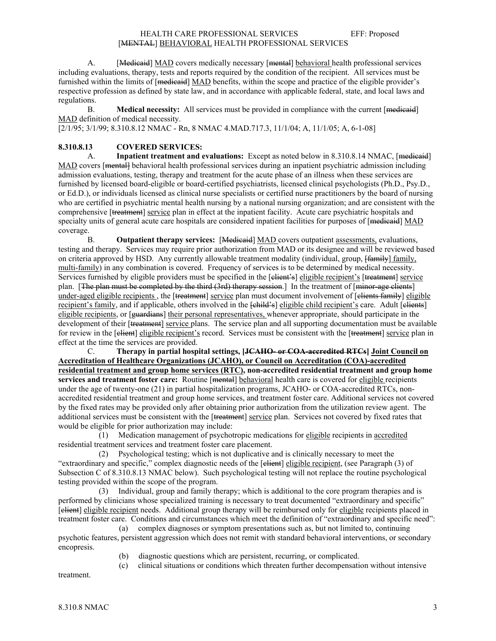A. [Medicaid] MAD covers medically necessary [mental] behavioral health professional services including evaluations, therapy, tests and reports required by the condition of the recipient. All services must be furnished within the limits of [medicaid] MAD benefits, within the scope and practice of the eligible provider's respective profession as defined by state law, and in accordance with applicable federal, state, and local laws and regulations.

B. **Medical necessity:** All services must be provided in compliance with the current [medicaid] MAD definition of medical necessity.

[2/1/95; 3/1/99; 8.310.8.12 NMAC - Rn, 8 NMAC 4.MAD.717.3, 11/1/04; A, 11/1/05; A, 6-1-08]

# **8.310.8.13 COVERED SERVICES:**

 A. **Inpatient treatment and evaluations:** Except as noted below in 8.310.8.14 NMAC, [medicaid] MAD covers [mental] behavioral health professional services during an inpatient psychiatric admission including admission evaluations, testing, therapy and treatment for the acute phase of an illness when these services are furnished by licensed board-eligible or board-certified psychiatrists, licensed clinical psychologists (Ph.D., Psy.D., or Ed.D.), or individuals licensed as clinical nurse specialists or certified nurse practitioners by the board of nursing who are certified in psychiatric mental health nursing by a national nursing organization; and are consistent with the comprehensive [treatment] service plan in effect at the inpatient facility. Acute care psychiatric hospitals and specialty units of general acute care hospitals are considered inpatient facilities for purposes of [medicaid] MAD coverage.

 B. **Outpatient therapy services:** [Medicaid] MAD covers outpatient assessments, evaluations, testing and therapy. Services may require prior authorization from MAD or its designee and will be reviewed based on criteria approved by HSD. Any currently allowable treatment modality (individual, group,  $\frac{1}{2}$  family, multi-family) in any combination is covered. Frequency of services is to be determined by medical necessity. Services furnished by eligible providers must be specified in the [elient's] eligible recipient's [treatment] service plan. [The plan must be completed by the third  $(3rd)$  therapy session.] In the treatment of [minor-age clients] under-aged eligible recipients, the [treatment] service plan must document involvement of [clients family] eligible recipient's family, and if applicable, others involved in the  $\frac{1}{2}$  eligible child recipient's care. Adult [clients] eligible recipients, or [<del>guardians</del>] their personal representatives, whenever appropriate, should participate in the development of their [treatment] service plans. The service plan and all supporting documentation must be available for review in the [client] eligible recipient's record. Services must be consistent with the [treatment] service plan in effect at the time the services are provided.

 C. **Therapy in partial hospital settings, [JCAHO- or COA-accredited RTCs] Joint Council on Accreditation of Healthcare Organizations (JCAHO), or Council on Accreditation (COA)-accredited residential treatment and group home services (RTC), non-accredited residential treatment and group home services and treatment foster care:** Routine [mental] behavioral health care is covered for eligible recipients under the age of twenty-one (21) in partial hospitalization programs, JCAHO- or COA-accredited RTCs, nonaccredited residential treatment and group home services, and treatment foster care. Additional services not covered by the fixed rates may be provided only after obtaining prior authorization from the utilization review agent. The additional services must be consistent with the [treatment] service plan. Services not covered by fixed rates that would be eligible for prior authorization may include:

 (1) Medication management of psychotropic medications for eligible recipients in accredited residential treatment services and treatment foster care placement.

 (2) Psychological testing; which is not duplicative and is clinically necessary to meet the "extraordinary and specific," complex diagnostic needs of the [elient] eligible recipient, (see Paragraph (3) of Subsection C of 8.310.8.13 NMAC below). Such psychological testing will not replace the routine psychological testing provided within the scope of the program.

 (3) Individual, group and family therapy; which is additional to the core program therapies and is performed by clinicians whose specialized training is necessary to treat documented "extraordinary and specific" [client] eligible recipient needs. Additional group therapy will be reimbursed only for eligible recipients placed in treatment foster care. Conditions and circumstances which meet the definition of "extraordinary and specific need":

 (a) complex diagnoses or symptom presentations such as, but not limited to, continuing psychotic features, persistent aggression which does not remit with standard behavioral interventions, or secondary encopresis.

- (b) diagnostic questions which are persistent, recurring, or complicated.
- (c) clinical situations or conditions which threaten further decompensation without intensive

treatment.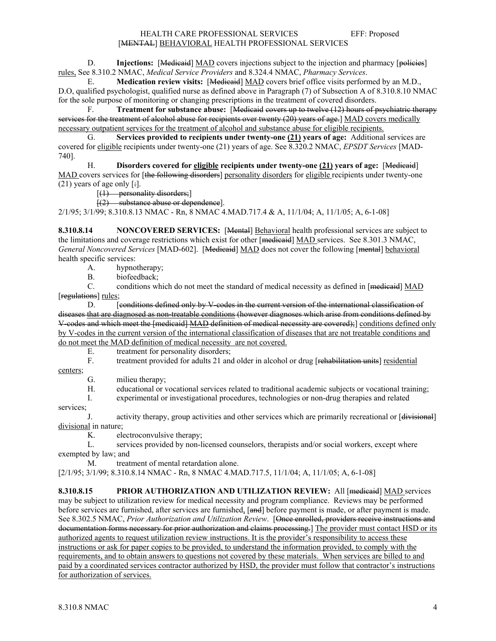#### HEALTH CARE PROFESSIONAL SERVICES EFF: Proposed [MENTAL] BEHAVIORAL HEALTH PROFESSIONAL SERVICES

D. **Injections:** [Medicaid] MAD covers injections subject to the injection and pharmacy [policies] rules, See 8.310.2 NMAC, *Medical Service Providers* and 8.324.4 NMAC, *Pharmacy Services*.

 E. **Medication review visits:** [Medicaid] MAD covers brief office visits performed by an M.D., D.O, qualified psychologist, qualified nurse as defined above in Paragraph (7) of Subsection A of 8.310.8.10 NMAC for the sole purpose of monitoring or changing prescriptions in the treatment of covered disorders.

 F. **Treatment for substance abuse:** [Medicaid covers up to twelve (12) hours of psychiatric therapy services for the treatment of alcohol abuse for recipients over twenty (20) years of age.] MAD covers medically necessary outpatient services for the treatment of alcohol and substance abuse for eligible recipients.

 G. **Services provided to recipients under twenty-one (21) years of age:** Additional services are covered for eligible recipients under twenty-one (21) years of age. See 8.320.2 NMAC, *EPSDT Services* [MAD-740].

 H. **Disorders covered for eligible recipients under twenty-one (21) years of age:** [Medicaid] MAD covers services for [the following disorders] personality disorders for eligible recipients under twenty-one  $(21)$  years of age only [:].

 $[(1)$  personality disorders;

[(2) substance abuse or dependence].

2/1/95; 3/1/99; 8.310.8.13 NMAC - Rn, 8 NMAC 4.MAD.717.4 & A, 11/1/04; A, 11/1/05; A, 6-1-08]

**8.310.8.14** NONCOVERED SERVICES: [Mental] Behavioral health professional services are subject to the limitations and coverage restrictions which exist for other [medicaid] MAD services. See 8.301.3 NMAC, *General Noncovered Services* [MAD-602]. [Medicaid] MAD does not cover the following [mental] behavioral health specific services:

A. hypnotherapy;<br>B. biofeedback; B. biofeedback;<br>C. conditions when

conditions which do not meet the standard of medical necessity as defined in [medicaid] MAD [regulations] rules;

D. [conditions defined only by V-codes in the current version of the international classification of diseases that are diagnosed as non-treatable conditions (however diagnoses which arise from conditions defined by V-codes and which meet the [medicaid] MAD definition of medical necessity are covered);] conditions defined only by V-codes in the current version of the international classification of diseases that are not treatable conditions and do not meet the MAD definition of medical necessity are not covered.

E. treatment for personality disorders;

F. treatment provided for adults 21 and older in alcohol or drug [rehabilitation units] residential centers;

G. milieu therapy;

H. educational or vocational services related to traditional academic subjects or vocational training;

I. experimental or investigational procedures, technologies or non-drug therapies and related

services;

J. activity therapy, group activities and other services which are primarily recreational or [divisional] divisional in nature;

K. electroconvulsive therapy;

L. services provided by non-licensed counselors, therapists and/or social workers, except where exempted by law; and

M. treatment of mental retardation alone.

[2/1/95; 3/1/99; 8.310.8.14 NMAC - Rn, 8 NMAC 4.MAD.717.5, 11/1/04; A, 11/1/05; A, 6-1-08]

**8.310.8.15 PRIOR AUTHORIZATION AND UTILIZATION REVIEW:** All [medicaid] MAD services may be subject to utilization review for medical necessity and program compliance. Reviews may be performed before services are furnished, after services are furnished, [and] before payment is made, or after payment is made. See 8.302.5 NMAC, *Prior Authorization and Utilization Review*. [Once enrolled, providers receive instructions and documentation forms necessary for prior authorization and claims processing.] The provider must contact HSD or its authorized agents to request utilization review instructions. It is the provider's responsibility to access these instructions or ask for paper copies to be provided, to understand the information provided, to comply with the requirements, and to obtain answers to questions not covered by these materials. When services are billed to and paid by a coordinated services contractor authorized by HSD, the provider must follow that contractor's instructions for authorization of services.